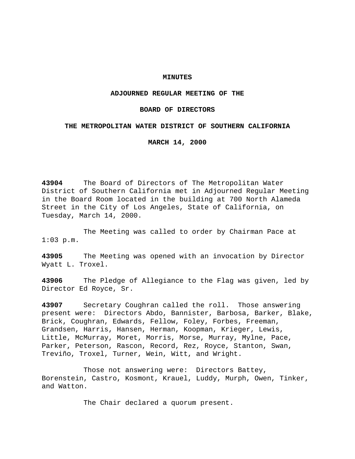### **MINUTES**

### **ADJOURNED REGULAR MEETING OF THE**

### **BOARD OF DIRECTORS**

## **THE METROPOLITAN WATER DISTRICT OF SOUTHERN CALIFORNIA**

**MARCH 14, 2000**

**43904** The Board of Directors of The Metropolitan Water District of Southern California met in Adjourned Regular Meeting in the Board Room located in the building at 700 North Alameda Street in the City of Los Angeles, State of California, on Tuesday, March 14, 2000.

The Meeting was called to order by Chairman Pace at  $1:03$  p.m.

**43905** The Meeting was opened with an invocation by Director Wyatt L. Troxel.

**43906** The Pledge of Allegiance to the Flag was given, led by Director Ed Royce, Sr.

**43907** Secretary Coughran called the roll. Those answering present were: Directors Abdo, Bannister, Barbosa, Barker, Blake, Brick, Coughran, Edwards, Fellow, Foley, Forbes, Freeman, Grandsen, Harris, Hansen, Herman, Koopman, Krieger, Lewis, Little, McMurray, Moret, Morris, Morse, Murray, Mylne, Pace, Parker, Peterson, Rascon, Record, Rez, Royce, Stanton, Swan, Treviño, Troxel, Turner, Wein, Witt, and Wright.

Those not answering were: Directors Battey, Borenstein, Castro, Kosmont, Krauel, Luddy, Murph, Owen, Tinker, and Watton.

The Chair declared a quorum present.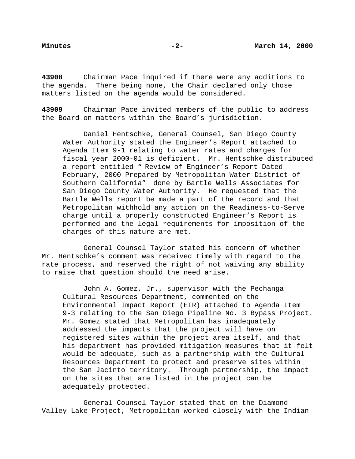**43908** Chairman Pace inquired if there were any additions to the agenda. There being none, the Chair declared only those matters listed on the agenda would be considered.

**43909** Chairman Pace invited members of the public to address the Board on matters within the Board's jurisdiction.

Daniel Hentschke, General Counsel, San Diego County Water Authority stated the Engineer's Report attached to Agenda Item 9-1 relating to water rates and charges for fiscal year 2000-01 is deficient. Mr. Hentschke distributed a report entitled " Review of Engineer's Report Dated February, 2000 Prepared by Metropolitan Water District of Southern California" done by Bartle Wells Associates for San Diego County Water Authority. He requested that the Bartle Wells report be made a part of the record and that Metropolitan withhold any action on the Readiness-to-Serve charge until a properly constructed Engineer's Report is performed and the legal requirements for imposition of the charges of this nature are met.

General Counsel Taylor stated his concern of whether Mr. Hentschke's comment was received timely with regard to the rate process, and reserved the right of not waiving any ability to raise that question should the need arise.

John A. Gomez, Jr., supervisor with the Pechanga Cultural Resources Department, commented on the Environmental Impact Report (EIR) attached to Agenda Item 9-3 relating to the San Diego Pipeline No. 3 Bypass Project. Mr. Gomez stated that Metropolitan has inadequately addressed the impacts that the project will have on registered sites within the project area itself, and that his department has provided mitigation measures that it felt would be adequate, such as a partnership with the Cultural Resources Department to protect and preserve sites within the San Jacinto territory. Through partnership, the impact on the sites that are listed in the project can be adequately protected.

General Counsel Taylor stated that on the Diamond Valley Lake Project, Metropolitan worked closely with the Indian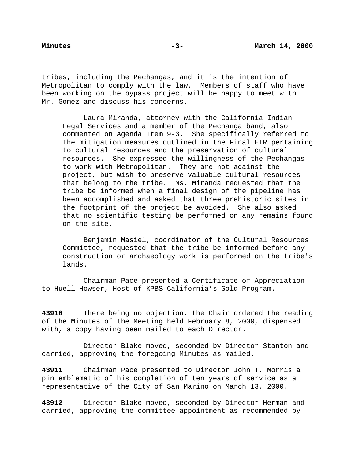tribes, including the Pechangas, and it is the intention of Metropolitan to comply with the law. Members of staff who have been working on the bypass project will be happy to meet with Mr. Gomez and discuss his concerns.

Laura Miranda, attorney with the California Indian Legal Services and a member of the Pechanga band, also commented on Agenda Item 9-3. She specifically referred to the mitigation measures outlined in the Final EIR pertaining to cultural resources and the preservation of cultural resources. She expressed the willingness of the Pechangas to work with Metropolitan. They are not against the project, but wish to preserve valuable cultural resources that belong to the tribe. Ms. Miranda requested that the tribe be informed when a final design of the pipeline has been accomplished and asked that three prehistoric sites in the footprint of the project be avoided. She also asked that no scientific testing be performed on any remains found on the site.

Benjamin Masiel, coordinator of the Cultural Resources Committee, requested that the tribe be informed before any construction or archaeology work is performed on the tribe's lands.

Chairman Pace presented a Certificate of Appreciation to Huell Howser, Host of KPBS California's Gold Program.

**43910** There being no objection, the Chair ordered the reading of the Minutes of the Meeting held February 8, 2000, dispensed with, a copy having been mailed to each Director.

Director Blake moved, seconded by Director Stanton and carried, approving the foregoing Minutes as mailed.

**43911** Chairman Pace presented to Director John T. Morris a pin emblematic of his completion of ten years of service as a representative of the City of San Marino on March 13, 2000.

**43912** Director Blake moved, seconded by Director Herman and carried, approving the committee appointment as recommended by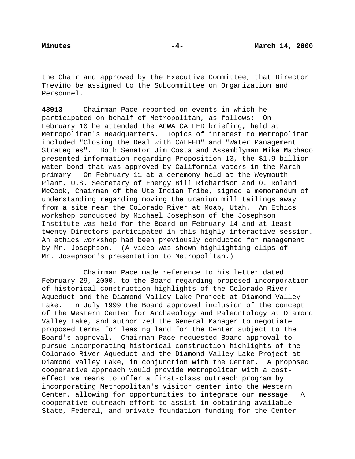the Chair and approved by the Executive Committee, that Director Treviño be assigned to the Subcommittee on Organization and Personnel.

**43913** Chairman Pace reported on events in which he participated on behalf of Metropolitan, as follows: On February 10 he attended the ACWA CALFED briefing, held at Metropolitan's Headquarters. Topics of interest to Metropolitan included "Closing the Deal with CALFED" and "Water Management Strategies". Both Senator Jim Costa and Assemblyman Mike Machado presented information regarding Proposition 13, the \$1.9 billion water bond that was approved by California voters in the March primary. On February 11 at a ceremony held at the Weymouth Plant, U.S. Secretary of Energy Bill Richardson and O. Roland McCook, Chairman of the Ute Indian Tribe, signed a memorandum of understanding regarding moving the uranium mill tailings away from a site near the Colorado River at Moab, Utah. An Ethics workshop conducted by Michael Josephson of the Josephson Institute was held for the Board on February 14 and at least twenty Directors participated in this highly interactive session. An ethics workshop had been previously conducted for management by Mr. Josephson. (A video was shown highlighting clips of Mr. Josephson's presentation to Metropolitan.)

Chairman Pace made reference to his letter dated February 29, 2000, to the Board regarding proposed incorporation of historical construction highlights of the Colorado River Aqueduct and the Diamond Valley Lake Project at Diamond Valley Lake. In July 1999 the Board approved inclusion of the concept of the Western Center for Archaeology and Paleontology at Diamond Valley Lake, and authorized the General Manager to negotiate proposed terms for leasing land for the Center subject to the Board's approval. Chairman Pace requested Board approval to pursue incorporating historical construction highlights of the Colorado River Aqueduct and the Diamond Valley Lake Project at Diamond Valley Lake, in conjunction with the Center. A proposed cooperative approach would provide Metropolitan with a costeffective means to offer a first-class outreach program by incorporating Metropolitan's visitor center into the Western Center, allowing for opportunities to integrate our message. A cooperative outreach effort to assist in obtaining available State, Federal, and private foundation funding for the Center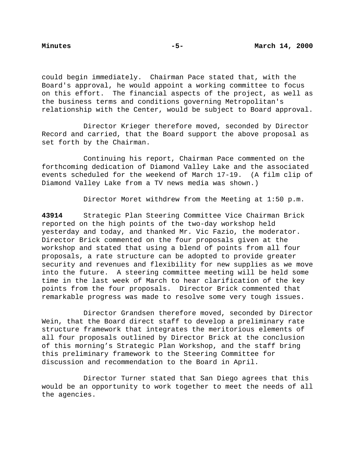could begin immediately. Chairman Pace stated that, with the Board's approval, he would appoint a working committee to focus on this effort. The financial aspects of the project, as well as the business terms and conditions governing Metropolitan's relationship with the Center, would be subject to Board approval.

Director Krieger therefore moved, seconded by Director Record and carried, that the Board support the above proposal as set forth by the Chairman.

Continuing his report, Chairman Pace commented on the forthcoming dedication of Diamond Valley Lake and the associated events scheduled for the weekend of March 17-19. (A film clip of Diamond Valley Lake from a TV news media was shown.)

Director Moret withdrew from the Meeting at 1:50 p.m.

**43914** Strategic Plan Steering Committee Vice Chairman Brick reported on the high points of the two-day workshop held yesterday and today, and thanked Mr. Vic Fazio, the moderator. Director Brick commented on the four proposals given at the workshop and stated that using a blend of points from all four proposals, a rate structure can be adopted to provide greater security and revenues and flexibility for new supplies as we move into the future. A steering committee meeting will be held some time in the last week of March to hear clarification of the key points from the four proposals. Director Brick commented that remarkable progress was made to resolve some very tough issues.

Director Grandsen therefore moved, seconded by Director Wein, that the Board direct staff to develop a preliminary rate structure framework that integrates the meritorious elements of all four proposals outlined by Director Brick at the conclusion of this morning's Strategic Plan Workshop, and the staff bring this preliminary framework to the Steering Committee for discussion and recommendation to the Board in April.

Director Turner stated that San Diego agrees that this would be an opportunity to work together to meet the needs of all the agencies.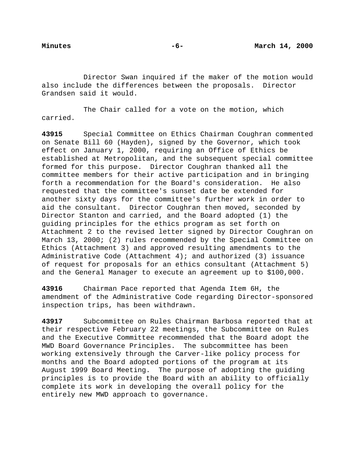Director Swan inquired if the maker of the motion would also include the differences between the proposals. Director Grandsen said it would.

The Chair called for a vote on the motion, which carried.

**43915** Special Committee on Ethics Chairman Coughran commented on Senate Bill 60 (Hayden), signed by the Governor, which took effect on January 1, 2000, requiring an Office of Ethics be established at Metropolitan, and the subsequent special committee formed for this purpose. Director Coughran thanked all the committee members for their active participation and in bringing forth a recommendation for the Board's consideration. He also requested that the committee's sunset date be extended for another sixty days for the committee's further work in order to aid the consultant. Director Coughran then moved, seconded by Director Stanton and carried, and the Board adopted (1) the guiding principles for the ethics program as set forth on Attachment 2 to the revised letter signed by Director Coughran on March 13, 2000; (2) rules recommended by the Special Committee on Ethics (Attachment 3) and approved resulting amendments to the Administrative Code (Attachment 4); and authorized (3) issuance of request for proposals for an ethics consultant (Attachment 5) and the General Manager to execute an agreement up to \$100,000.

**43916** Chairman Pace reported that Agenda Item 6H, the amendment of the Administrative Code regarding Director-sponsored inspection trips, has been withdrawn.

**43917** Subcommittee on Rules Chairman Barbosa reported that at their respective February 22 meetings, the Subcommittee on Rules and the Executive Committee recommended that the Board adopt the MWD Board Governance Principles. The subcommittee has been working extensively through the Carver-like policy process for months and the Board adopted portions of the program at its August 1999 Board Meeting. The purpose of adopting the guiding principles is to provide the Board with an ability to officially complete its work in developing the overall policy for the entirely new MWD approach to governance.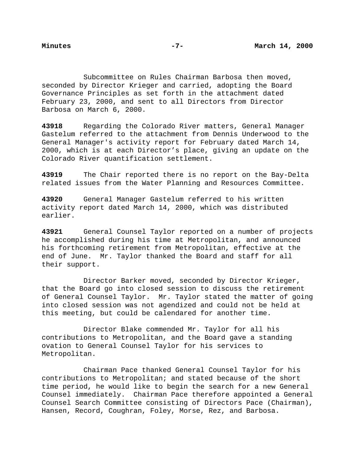Subcommittee on Rules Chairman Barbosa then moved, seconded by Director Krieger and carried, adopting the Board Governance Principles as set forth in the attachment dated February 23, 2000, and sent to all Directors from Director Barbosa on March 6, 2000.

**43918** Regarding the Colorado River matters, General Manager Gastelum referred to the attachment from Dennis Underwood to the General Manager's activity report for February dated March 14, 2000, which is at each Director's place, giving an update on the Colorado River quantification settlement.

**43919** The Chair reported there is no report on the Bay-Delta related issues from the Water Planning and Resources Committee.

**43920** General Manager Gastelum referred to his written activity report dated March 14, 2000, which was distributed earlier.

**43921** General Counsel Taylor reported on a number of projects he accomplished during his time at Metropolitan, and announced his forthcoming retirement from Metropolitan, effective at the end of June. Mr. Taylor thanked the Board and staff for all their support.

Director Barker moved, seconded by Director Krieger, that the Board go into closed session to discuss the retirement of General Counsel Taylor. Mr. Taylor stated the matter of going into closed session was not agendized and could not be held at this meeting, but could be calendared for another time.

Director Blake commended Mr. Taylor for all his contributions to Metropolitan, and the Board gave a standing ovation to General Counsel Taylor for his services to Metropolitan.

Chairman Pace thanked General Counsel Taylor for his contributions to Metropolitan; and stated because of the short time period, he would like to begin the search for a new General Counsel immediately. Chairman Pace therefore appointed a General Counsel Search Committee consisting of Directors Pace (Chairman), Hansen, Record, Coughran, Foley, Morse, Rez, and Barbosa.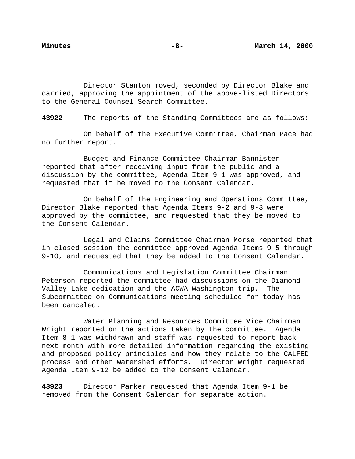Director Stanton moved, seconded by Director Blake and carried, approving the appointment of the above-listed Directors to the General Counsel Search Committee.

**43922** The reports of the Standing Committees are as follows:

On behalf of the Executive Committee, Chairman Pace had no further report.

Budget and Finance Committee Chairman Bannister reported that after receiving input from the public and a discussion by the committee, Agenda Item 9-1 was approved, and requested that it be moved to the Consent Calendar.

On behalf of the Engineering and Operations Committee, Director Blake reported that Agenda Items 9-2 and 9-3 were approved by the committee, and requested that they be moved to the Consent Calendar.

Legal and Claims Committee Chairman Morse reported that in closed session the committee approved Agenda Items 9-5 through 9-10, and requested that they be added to the Consent Calendar.

Communications and Legislation Committee Chairman Peterson reported the committee had discussions on the Diamond Valley Lake dedication and the ACWA Washington trip. The Subcommittee on Communications meeting scheduled for today has been canceled.

Water Planning and Resources Committee Vice Chairman Wright reported on the actions taken by the committee. Agenda Item 8-1 was withdrawn and staff was requested to report back next month with more detailed information regarding the existing and proposed policy principles and how they relate to the CALFED process and other watershed efforts. Director Wright requested Agenda Item 9-12 be added to the Consent Calendar.

**43923** Director Parker requested that Agenda Item 9-1 be removed from the Consent Calendar for separate action.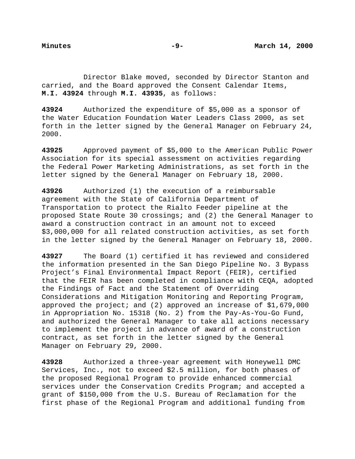Director Blake moved, seconded by Director Stanton and carried, and the Board approved the Consent Calendar Items, **M.I. 43924** through **M.I. 43935**, as follows:

**43924** Authorized the expenditure of \$5,000 as a sponsor of the Water Education Foundation Water Leaders Class 2000, as set forth in the letter signed by the General Manager on February 24, 2000.

**43925** Approved payment of \$5,000 to the American Public Power Association for its special assessment on activities regarding the Federal Power Marketing Administrations, as set forth in the letter signed by the General Manager on February 18, 2000.

**43926** Authorized (1) the execution of a reimbursable agreement with the State of California Department of Transportation to protect the Rialto Feeder pipeline at the proposed State Route 30 crossings; and (2) the General Manager to award a construction contract in an amount not to exceed \$3,000,000 for all related construction activities, as set forth in the letter signed by the General Manager on February 18, 2000.

**43927** The Board (1) certified it has reviewed and considered the information presented in the San Diego Pipeline No. 3 Bypass Project's Final Environmental Impact Report (FEIR), certified that the FEIR has been completed in compliance with CEQA, adopted the Findings of Fact and the Statement of Overriding Considerations and Mitigation Monitoring and Reporting Program, approved the project; and (2) approved an increase of \$1,679,000 in Appropriation No. 15318 (No. 2) from the Pay-As-You-Go Fund, and authorized the General Manager to take all actions necessary to implement the project in advance of award of a construction contract, as set forth in the letter signed by the General Manager on February 29, 2000.

**43928** Authorized a three-year agreement with Honeywell DMC Services, Inc., not to exceed \$2.5 million, for both phases of the proposed Regional Program to provide enhanced commercial services under the Conservation Credits Program; and accepted a grant of \$150,000 from the U.S. Bureau of Reclamation for the first phase of the Regional Program and additional funding from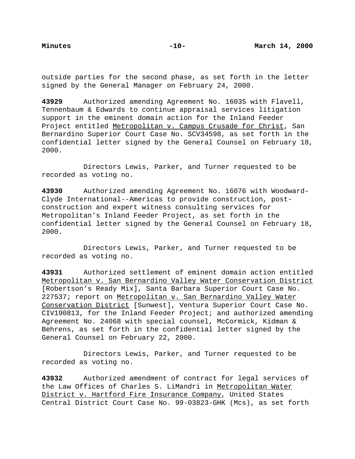outside parties for the second phase, as set forth in the letter signed by the General Manager on February 24, 2000.

**43929** Authorized amending Agreement No. 16035 with Flavell, Tennenbaum & Edwards to continue appraisal services litigation support in the eminent domain action for the Inland Feeder Project entitled Metropolitan v. Campus Crusade for Christ, San Bernardino Superior Court Case No. SCV34598, as set forth in the confidential letter signed by the General Counsel on February 18, 2000.

Directors Lewis, Parker, and Turner requested to be recorded as voting no.

**43930** Authorized amending Agreement No. 16076 with Woodward-Clyde International--Americas to provide construction, postconstruction and expert witness consulting services for Metropolitan's Inland Feeder Project, as set forth in the confidential letter signed by the General Counsel on February 18, 2000.

Directors Lewis, Parker, and Turner requested to be recorded as voting no.

**43931** Authorized settlement of eminent domain action entitled Metropolitan v. San Bernardino Valley Water Conservation District [Robertson's Ready Mix], Santa Barbara Superior Court Case No. 227537; report on Metropolitan v. San Bernardino Valley Water Conservation District [Sunwest], Ventura Superior Court Case No. CIV190813, for the Inland Feeder Project; and authorized amending Agreement No. 24068 with special counsel, McCormick, Kidman & Behrens, as set forth in the confidential letter signed by the General Counsel on February 22, 2000.

Directors Lewis, Parker, and Turner requested to be recorded as voting no.

**43932** Authorized amendment of contract for legal services of the Law Offices of Charles S. LiMandri in Metropolitan Water District v. Hartford Fire Insurance Company, United States Central District Court Case No. 99-03823-GHK (Mcs), as set forth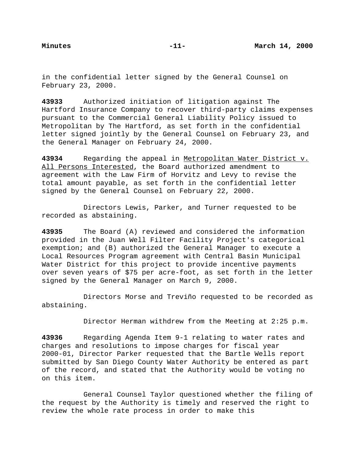in the confidential letter signed by the General Counsel on February 23, 2000.

**43933** Authorized initiation of litigation against The Hartford Insurance Company to recover third-party claims expenses pursuant to the Commercial General Liability Policy issued to Metropolitan by The Hartford, as set forth in the confidential letter signed jointly by the General Counsel on February 23, and the General Manager on February 24, 2000.

**43934** Regarding the appeal in Metropolitan Water District v. All Persons Interested, the Board authorized amendment to agreement with the Law Firm of Horvitz and Levy to revise the total amount payable, as set forth in the confidential letter signed by the General Counsel on February 22, 2000.

Directors Lewis, Parker, and Turner requested to be recorded as abstaining.

**43935** The Board (A) reviewed and considered the information provided in the Juan Well Filter Facility Project's categorical exemption; and (B) authorized the General Manager to execute a Local Resources Program agreement with Central Basin Municipal Water District for this project to provide incentive payments over seven years of \$75 per acre-foot, as set forth in the letter signed by the General Manager on March 9, 2000.

Directors Morse and Treviño requested to be recorded as abstaining.

Director Herman withdrew from the Meeting at 2:25 p.m.

**43936** Regarding Agenda Item 9-1 relating to water rates and charges and resolutions to impose charges for fiscal year 2000-01, Director Parker requested that the Bartle Wells report submitted by San Diego County Water Authority be entered as part of the record, and stated that the Authority would be voting no on this item.

General Counsel Taylor questioned whether the filing of the request by the Authority is timely and reserved the right to review the whole rate process in order to make this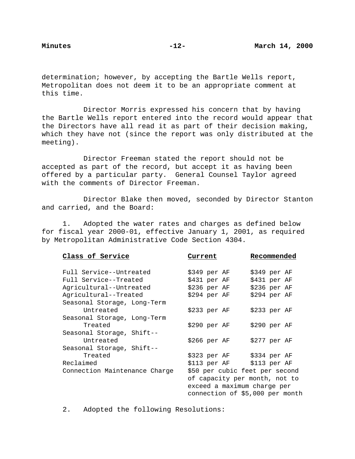determination; however, by accepting the Bartle Wells report, Metropolitan does not deem it to be an appropriate comment at this time.

Director Morris expressed his concern that by having the Bartle Wells report entered into the record would appear that the Directors have all read it as part of their decision making, which they have not (since the report was only distributed at the meeting).

Director Freeman stated the report should not be accepted as part of the record, but accept it as having been offered by a particular party. General Counsel Taylor agreed with the comments of Director Freeman.

Director Blake then moved, seconded by Director Stanton and carried, and the Board:

1. Adopted the water rates and charges as defined below for fiscal year 2000-01, effective January 1, 2001, as required by Metropolitan Administrative Code Section 4304.

| Class of Service              | Current                        | Recommended                     |
|-------------------------------|--------------------------------|---------------------------------|
| Full Service--Untreated       | \$349 per AF                   | \$349 per AF                    |
| Full Service--Treated         | \$431 per AF                   | \$431 per AF                    |
| Agricultural--Untreated       | \$236 per AF                   | \$236 per AF                    |
| Agricultural--Treated         | $$294$ per AF                  | \$294 per AF                    |
| Seasonal Storage, Long-Term   |                                |                                 |
| Untreated                     | \$233 per AF                   | \$233 per AF                    |
| Seasonal Storage, Long-Term   |                                |                                 |
| Treated                       | \$290 per AF                   | \$290~per~AF                    |
| Seasonal Storage, Shift--     |                                |                                 |
| Untreated                     | \$266 per AF                   | \$277 per AF                    |
| Seasonal Storage, Shift--     |                                |                                 |
| Treated                       | \$323 per AF \$334 per AF      |                                 |
| Reclaimed                     | \$113 per AF \$113 per AF      |                                 |
| Connection Maintenance Charge | \$50 per cubic feet per second |                                 |
|                               | of capacity per month, not to  |                                 |
|                               | exceed a maximum charge per    |                                 |
|                               |                                | connection of \$5,000 per month |

2. Adopted the following Resolutions: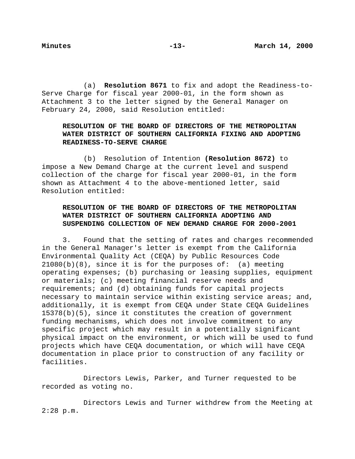(a) **Resolution 8671** to fix and adopt the Readiness-to-Serve Charge for fiscal year 2000-01, in the form shown as Attachment 3 to the letter signed by the General Manager on February 24, 2000, said Resolution entitled:

## **RESOLUTION OF THE BOARD OF DIRECTORS OF THE METROPOLITAN WATER DISTRICT OF SOUTHERN CALIFORNIA FIXING AND ADOPTING READINESS-TO-SERVE CHARGE**

(b) Resolution of Intention **(Resolution 8672)** to impose a New Demand Charge at the current level and suspend collection of the charge for fiscal year 2000-01, in the form shown as Attachment 4 to the above-mentioned letter, said Resolution entitled:

# **RESOLUTION OF THE BOARD OF DIRECTORS OF THE METROPOLITAN WATER DISTRICT OF SOUTHERN CALIFORNIA ADOPTING AND SUSPENDING COLLECTION OF NEW DEMAND CHARGE FOR 2000-2001**

3. Found that the setting of rates and charges recommended in the General Manager's letter is exempt from the California Environmental Quality Act (CEQA) by Public Resources Code  $21080(b)(8)$ , since it is for the purposes of: (a) meeting operating expenses; (b) purchasing or leasing supplies, equipment or materials; (c) meeting financial reserve needs and requirements; and (d) obtaining funds for capital projects necessary to maintain service within existing service areas; and, additionally, it is exempt from CEQA under State CEQA Guidelines 15378(b)(5), since it constitutes the creation of government funding mechanisms, which does not involve commitment to any specific project which may result in a potentially significant physical impact on the environment, or which will be used to fund projects which have CEQA documentation, or which will have CEQA documentation in place prior to construction of any facility or facilities.

Directors Lewis, Parker, and Turner requested to be recorded as voting no.

Directors Lewis and Turner withdrew from the Meeting at 2:28 p.m.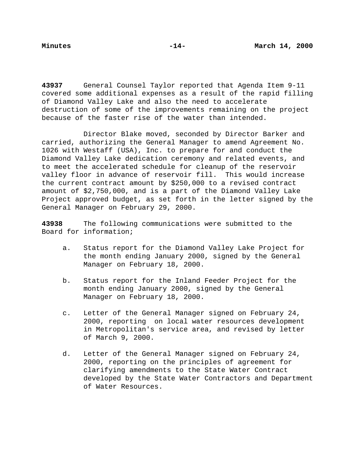**43937** General Counsel Taylor reported that Agenda Item 9-11 covered some additional expenses as a result of the rapid filling of Diamond Valley Lake and also the need to accelerate destruction of some of the improvements remaining on the project because of the faster rise of the water than intended.

Director Blake moved, seconded by Director Barker and carried, authorizing the General Manager to amend Agreement No. 1026 with Westaff (USA), Inc. to prepare for and conduct the Diamond Valley Lake dedication ceremony and related events, and to meet the accelerated schedule for cleanup of the reservoir valley floor in advance of reservoir fill. This would increase the current contract amount by \$250,000 to a revised contract amount of \$2,750,000, and is a part of the Diamond Valley Lake Project approved budget, as set forth in the letter signed by the General Manager on February 29, 2000.

**43938** The following communications were submitted to the Board for information;

- a. Status report for the Diamond Valley Lake Project for the month ending January 2000, signed by the General Manager on February 18, 2000.
- b. Status report for the Inland Feeder Project for the month ending January 2000, signed by the General Manager on February 18, 2000.
- c. Letter of the General Manager signed on February 24, 2000, reporting on local water resources development in Metropolitan's service area, and revised by letter of March 9, 2000.
- d. Letter of the General Manager signed on February 24, 2000, reporting on the principles of agreement for clarifying amendments to the State Water Contract developed by the State Water Contractors and Department of Water Resources.